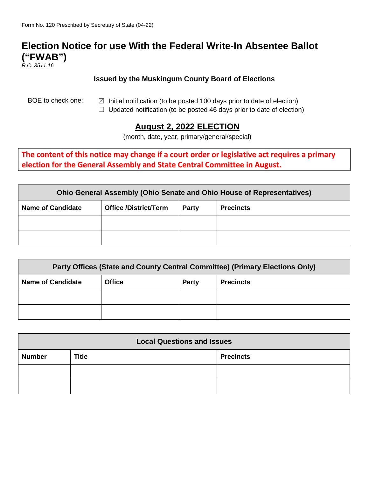## **Election Notice for use With the Federal Write-In Absentee Ballot ("FWAB")**

*R.C. 3511.16*

## **Issued by the Muskingum County Board of Elections**

- BOE to check one:  $\boxtimes$  Initial notification (to be posted 100 days prior to date of election)
	- $\Box$  Updated notification (to be posted 46 days prior to date of election)

## **August 2, 2022 ELECTION**

(month, date, year, primary/general/special)

**The content of this notice may change if a court order or legislative act requires a primary election for the General Assembly and State Central Committee in August.** 

| Ohio General Assembly (Ohio Senate and Ohio House of Representatives) |                              |       |                  |  |  |
|-----------------------------------------------------------------------|------------------------------|-------|------------------|--|--|
| <b>Name of Candidate</b>                                              | <b>Office /District/Term</b> | Party | <b>Precincts</b> |  |  |
|                                                                       |                              |       |                  |  |  |
|                                                                       |                              |       |                  |  |  |

| Party Offices (State and County Central Committee) (Primary Elections Only) |               |              |                  |  |  |
|-----------------------------------------------------------------------------|---------------|--------------|------------------|--|--|
| <b>Name of Candidate</b>                                                    | <b>Office</b> | <b>Party</b> | <b>Precincts</b> |  |  |
|                                                                             |               |              |                  |  |  |
|                                                                             |               |              |                  |  |  |

| <b>Local Questions and Issues</b> |              |                  |  |  |
|-----------------------------------|--------------|------------------|--|--|
| <b>Number</b>                     | <b>Title</b> | <b>Precincts</b> |  |  |
|                                   |              |                  |  |  |
|                                   |              |                  |  |  |